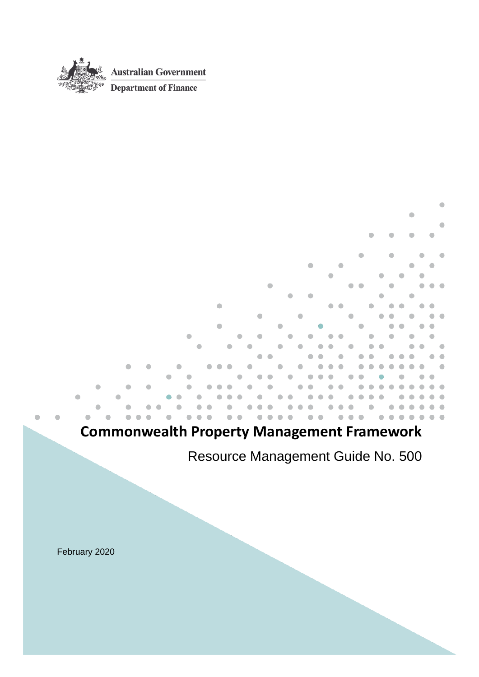

# **Commonwealth Property Management Framework**

Resource Management Guide No. 500

٠

February 2020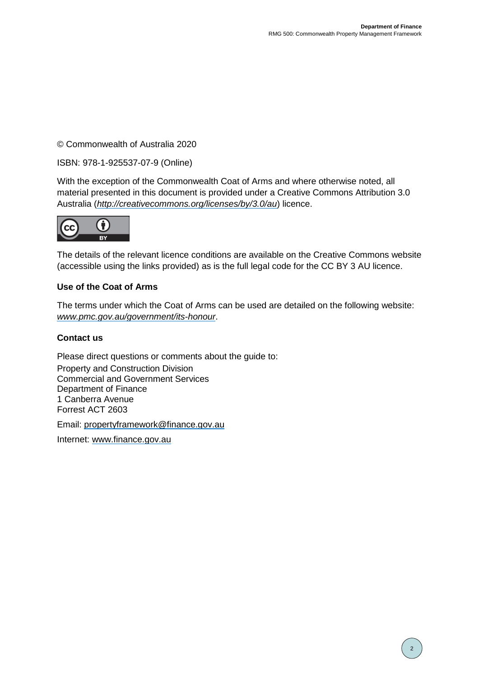#### © Commonwealth of Australia 2020

#### ISBN: 978-1-925537-07-9 (Online)

With the exception of the Commonwealth Coat of Arms and where otherwise noted, all material presented in this document is provided under a Creative Commons Attribution 3.0 Australia (*[http://creativecommons.org/licenses/by/3.0/au](http://creativecommons.org/licenses/by/3.0/au/)*) licence.



The details of the relevant licence conditions are available on the Creative Commons website (accessible using the links provided) as is the full legal code for the CC BY 3 AU licence.

#### **Use of the Coat of Arms**

The terms under which the Coat of Arms can be used are detailed on the following website: *[www.pmc.gov.au/government/its-honour](http://www.pmc.gov.au/government/its-honour)*.

#### **Contact us**

Please direct questions or comments about the guide to: Property and Construction Division Commercial and Government Services Department of Finance 1 Canberra Avenue Forrest ACT 2603

Email: [propertyframework@finance.gov.au](mailto:propertyframework@finance.gov.au)

Internet: [www.finance.gov.au](http://www.finance.gov.au/)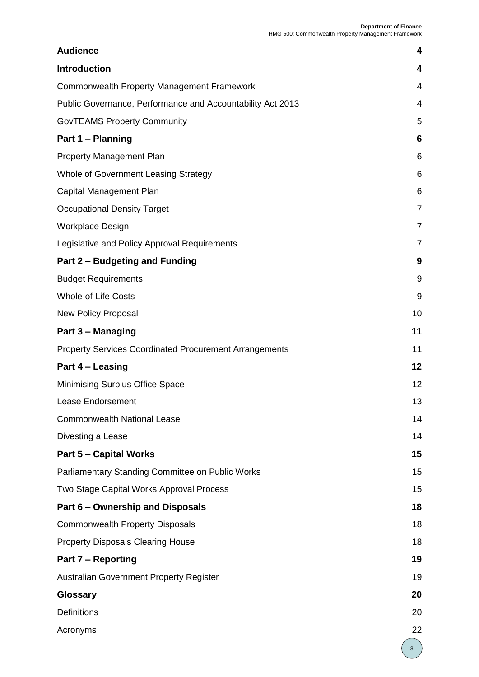| <b>Audience</b>                                            | 4              |
|------------------------------------------------------------|----------------|
| <b>Introduction</b>                                        | 4              |
| <b>Commonwealth Property Management Framework</b>          | 4              |
| Public Governance, Performance and Accountability Act 2013 | 4              |
| <b>GovTEAMS Property Community</b>                         | 5              |
| Part 1 - Planning                                          | 6              |
| <b>Property Management Plan</b>                            | 6              |
| Whole of Government Leasing Strategy                       | 6              |
| Capital Management Plan                                    | 6              |
| <b>Occupational Density Target</b>                         | 7              |
| <b>Workplace Design</b>                                    | $\overline{7}$ |
| Legislative and Policy Approval Requirements               | $\overline{7}$ |
| Part 2 - Budgeting and Funding                             | 9              |
| <b>Budget Requirements</b>                                 | 9              |
| <b>Whole-of-Life Costs</b>                                 | 9              |
| <b>New Policy Proposal</b>                                 | 10             |
| Part 3 - Managing                                          | 11             |
| Property Services Coordinated Procurement Arrangements     | 11             |
| Part 4 - Leasing                                           | 12             |
| Minimising Surplus Office Space                            | 12             |
| Lease Endorsement                                          | 13             |
| <b>Commonwealth National Lease</b>                         | 14             |
| Divesting a Lease                                          | 14             |
| <b>Part 5 - Capital Works</b>                              | 15             |
| Parliamentary Standing Committee on Public Works           | 15             |
| Two Stage Capital Works Approval Process                   | 15             |
| Part 6 – Ownership and Disposals                           | 18             |
| <b>Commonwealth Property Disposals</b>                     | 18             |
| <b>Property Disposals Clearing House</b>                   | 18             |
| <b>Part 7 – Reporting</b>                                  | 19             |
| <b>Australian Government Property Register</b>             | 19             |
| Glossary                                                   | 20             |
| <b>Definitions</b>                                         | 20             |
| Acronyms                                                   | 22             |
|                                                            | 3              |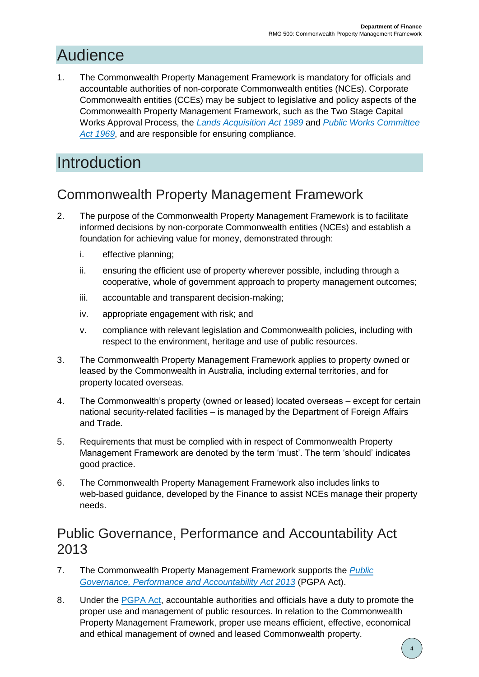# <span id="page-3-0"></span>Audience

1. The Commonwealth Property Management Framework is mandatory for officials and accountable authorities of non-corporate Commonwealth entities (NCEs). Corporate Commonwealth entities (CCEs) may be subject to legislative and policy aspects of the Commonwealth Property Management Framework, such as the Two Stage Capital Works Approval Process, the *[Lands Acquisition Act 1989](https://www.legislation.gov.au/Series/C2004A03763)* and *[Public Works Committee](https://www.legislation.gov.au/Series/C1969A00092)*  [Act 1969](https://www.legislation.gov.au/Series/C1969A00092), and are responsible for ensuring compliance.

# <span id="page-3-1"></span>**Introduction**

## <span id="page-3-2"></span>Commonwealth Property Management Framework

- 2. The purpose of the Commonwealth Property Management Framework is to facilitate informed decisions by non-corporate Commonwealth entities (NCEs) and establish a foundation for achieving value for money, demonstrated through:
	- i. effective planning;
	- ii. ensuring the efficient use of property wherever possible, including through a cooperative, whole of government approach to property management outcomes;
	- iii. accountable and transparent decision-making;
	- iv. appropriate engagement with risk; and
	- v. compliance with relevant legislation and Commonwealth policies, including with respect to the environment, heritage and use of public resources.
- 3. The Commonwealth Property Management Framework applies to property owned or leased by the Commonwealth in Australia, including external territories, and for property located overseas.
- 4. The Commonwealth's property (owned or leased) located overseas except for certain national security-related facilities – is managed by the Department of Foreign Affairs and Trade.
- 5. Requirements that must be complied with in respect of Commonwealth Property Management Framework are denoted by the term 'must'. The term 'should' indicates good practice.
- 6. The Commonwealth Property Management Framework also includes links to web-based guidance, developed by the Finance to assist NCEs manage their property needs.

#### <span id="page-3-3"></span>Public Governance, Performance and Accountability Act 2013

- 7. The Commonwealth Property Management Framework supports the *[Public](https://www.legislation.gov.au/Series/C2013A00123)  [Governance, Performance and Accountability Act 2013](https://www.legislation.gov.au/Series/C2013A00123)* (PGPA Act).
- 8. Under the [PGPA Act,](https://www.legislation.gov.au/Series/C2013A00123) accountable authorities and officials have a duty to promote the proper use and management of public resources. In relation to the Commonwealth Property Management Framework, proper use means efficient, effective, economical and ethical management of owned and leased Commonwealth property.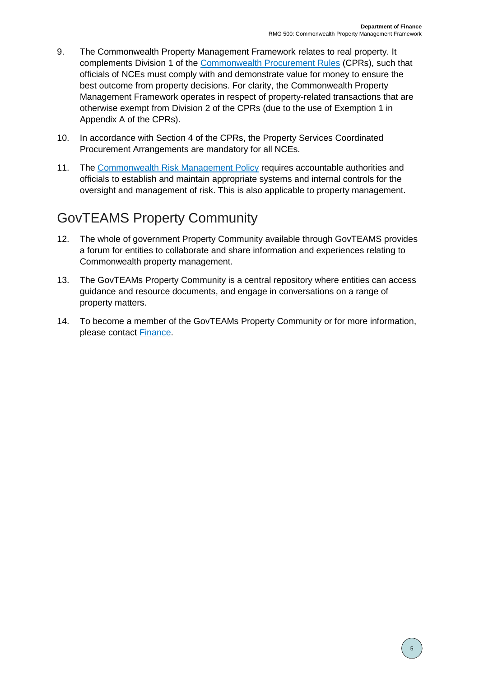- 9. The Commonwealth Property Management Framework relates to real property. It complements Division 1 of the [Commonwealth Procurement Rules](https://www.finance.gov.au/government/procurement/commonwealth-procurement-rules) (CPRs), such that officials of NCEs must comply with and demonstrate value for money to ensure the best outcome from property decisions. For clarity, the Commonwealth Property Management Framework operates in respect of property-related transactions that are otherwise exempt from Division 2 of the CPRs (due to the use of Exemption 1 in Appendix A of the CPRs).
- 10. In accordance with Section 4 of the CPRs, the Property Services Coordinated Procurement Arrangements are mandatory for all NCEs.
- 11. The [Commonwealth Risk Management Policy](https://www.finance.gov.au/government/managing-commonwealth-resources/implementing-commonwealth-risk-management-policy-rmg-211) requires accountable authorities and officials to establish and maintain appropriate systems and internal controls for the oversight and management of risk. This is also applicable to property management.

## <span id="page-4-0"></span>GovTEAMS Property Community

- 12. The whole of government Property Community available through GovTEAMS provides a forum for entities to collaborate and share information and experiences relating to Commonwealth property management.
- 13. The GovTEAMs Property Community is a central repository where entities can access guidance and resource documents, and engage in conversations on a range of property matters.
- 14. To become a member of the GovTEAMs Property Community or for more information, please contact [Finance.](mailto:propertyframework@finance.gov.au)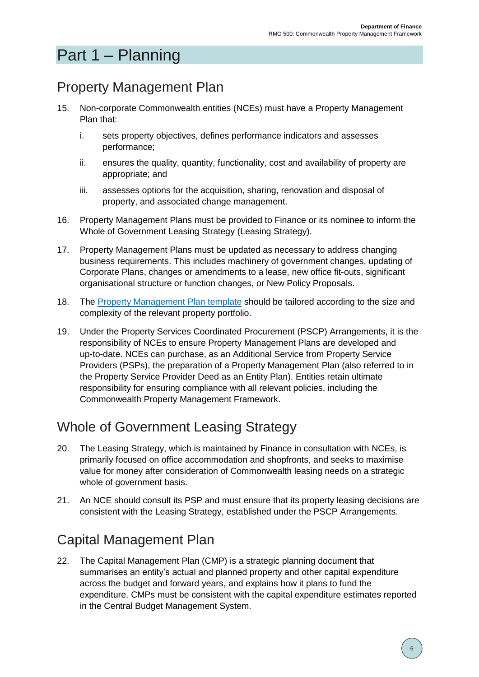# <span id="page-5-0"></span>Part 1 – Planning

# <span id="page-5-1"></span>Property Management Plan

- 15. Non-corporate Commonwealth entities (NCEs) must have a Property Management Plan that:
	- i. sets property objectives, defines performance indicators and assesses performance;
	- ii. ensures the quality, quantity, functionality, cost and availability of property are appropriate; and
	- iii. assesses options for the acquisition, sharing, renovation and disposal of property, and associated change management.
- 16. Property Management Plans must be provided to Finance or its nominee to inform the Whole of Government Leasing Strategy (Leasing Strategy).
- 17. Property Management Plans must be updated as necessary to address changing business requirements. This includes machinery of government changes, updating of Corporate Plans, changes or amendments to a lease, new office fit-outs, significant organisational structure or function changes, or New Policy Proposals.
- 18. The [Property Management Plan template](https://www.finance.gov.au/sites/default/files/2019-11/RMG500-Property-Management-Plan-Template.docx) should be tailored according to the size and complexity of the relevant property portfolio.
- 19. Under the Property Services Coordinated Procurement (PSCP) Arrangements, it is the responsibility of NCEs to ensure Property Management Plans are developed and up-to-date. NCEs can purchase, as an Additional Service from Property Service Providers (PSPs), the preparation of a Property Management Plan (also referred to in the Property Service Provider Deed as an Entity Plan). Entities retain ultimate responsibility for ensuring compliance with all relevant policies, including the Commonwealth Property Management Framework.

## <span id="page-5-2"></span>Whole of Government Leasing Strategy

- 20. The Leasing Strategy, which is maintained by Finance in consultation with NCEs, is primarily focused on office accommodation and shopfronts, and seeks to maximise value for money after consideration of Commonwealth leasing needs on a strategic whole of government basis.
- 21. An NCE should consult its PSP and must ensure that its property leasing decisions are consistent with the Leasing Strategy, established under the PSCP Arrangements.

## <span id="page-5-3"></span>Capital Management Plan

22. The Capital Management Plan (CMP) is a strategic planning document that summarises an entity's actual and planned property and other capital expenditure across the budget and forward years, and explains how it plans to fund the expenditure. CMPs must be consistent with the capital expenditure estimates reported in the Central Budget Management System.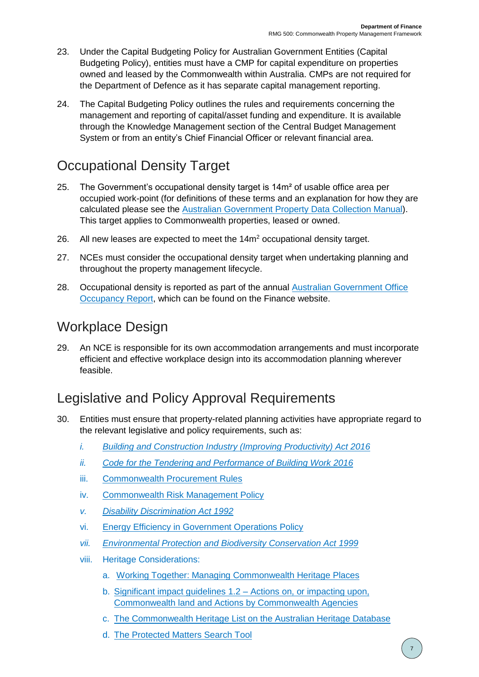- 23. Under the Capital Budgeting Policy for Australian Government Entities (Capital Budgeting Policy), entities must have a CMP for capital expenditure on properties owned and leased by the Commonwealth within Australia. CMPs are not required for the Department of Defence as it has separate capital management reporting.
- 24. The Capital Budgeting Policy outlines the rules and requirements concerning the management and reporting of capital/asset funding and expenditure. It is available through the Knowledge Management section of the Central Budget Management System or from an entity's Chief Financial Officer or relevant financial area.

## <span id="page-6-0"></span>Occupational Density Target

- 25. The Government's occupational density target is  $14<sup>m²</sup>$  of usable office area per occupied work-point (for definitions of these terms and an explanation for how they are calculated please see the [Australian Government Property Data Collection Manual\)](https://www.finance.gov.au/government/property-and-construction/leased-office-accommodation). This target applies to Commonwealth properties, leased or owned.
- 26. All new leases are expected to meet the  $14m<sup>2</sup>$  occupational density target.
- 27. NCEs must consider the occupational density target when undertaking planning and throughout the property management lifecycle.
- 28. Occupational density is reported as part of the annual Australian [Government Office](https://www.finance.gov.au/government/property-and-construction/leased-office-accommodation/australian-government-office-occupancy-reports#:~:text=The%202019%20Australian%20Government%20Office%20Occupancy%20Report%20%28Occupancy,the%20Australian%20Government%20Property%20Register%20%28AGPR%29%2C%20which%20)  [Occupancy Report,](https://www.finance.gov.au/government/property-and-construction/leased-office-accommodation/australian-government-office-occupancy-reports#:~:text=The%202019%20Australian%20Government%20Office%20Occupancy%20Report%20%28Occupancy,the%20Australian%20Government%20Property%20Register%20%28AGPR%29%2C%20which%20) which can be found on the Finance website.

### <span id="page-6-1"></span>Workplace Design

29. An NCE is responsible for its own accommodation arrangements and must incorporate efficient and effective workplace design into its accommodation planning wherever feasible.

#### <span id="page-6-2"></span>Legislative and Policy Approval Requirements

- 30. Entities must ensure that property-related planning activities have appropriate regard to the relevant legislative and policy requirements, such as:
	- *i. [Building and Construction Industry \(Improving Productivity\) Act 2016](https://www.legislation.gov.au/Details/C2021C00425)*
	- *ii. [Code for the Tendering and Performance of Building Work 2016](https://www.legislation.gov.au/Series/F2016L01859)*
	- iii. [Commonwealth Procurement Rules](https://www.finance.gov.au/government/procurement/commonwealth-procurement-rules)
	- iv. [Commonwealth Risk Management Policy](https://www.finance.gov.au/government/managing-commonwealth-resources/implementing-commonwealth-risk-management-policy-rmg-211)
	- *v. [Disability Discrimination Act 1992](https://www.legislation.gov.au/Series/C2004A04426)*
	- vi. [Energy Efficiency in Government Operations Policy](http://www.environment.gov.au/energy/efficiency/non-residential-buildings/government-buildings/eego)
	- *vii. [Environmental Protection and Biodiversity Conservation Act 1999](https://www.legislation.gov.au/Details/C2021C00182)*
	- viii. Heritage Considerations:
		- a. [Working Together: Managing Commonwealth Heritage Places](https://www.environment.gov.au/heritage/publications/working-together-managing-commonwealth-heritage-places)
		- b. [Significant impact guidelines 1.2 –](http://www.environment.gov.au/epbc/publications/significant-impact-guidelines-12-actions-or-impacting-upon-commonwealth-land-and-actions) Actions on, or impacting upon, [Commonwealth land and Actions by Commonwealth Agencies](http://www.environment.gov.au/epbc/publications/significant-impact-guidelines-12-actions-or-impacting-upon-commonwealth-land-and-actions)
		- c. [The Commonwealth Heritage List on the Australian Heritage Database](http://www.environment.gov.au/cgi-bin/ahdb/search.pl?mode=search_results;list_code=CHL;legal_status=35)
		- d. [The Protected Matters Search Tool](http://www.environment.gov.au/epbc/protected-matters-search-tool)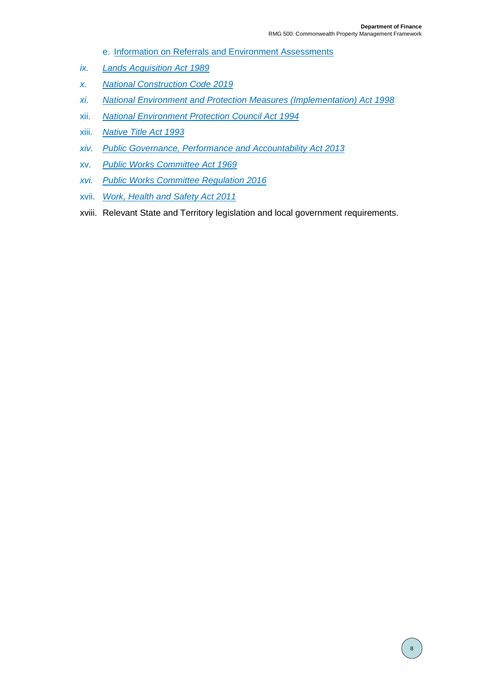- e. [Information on Referrals and Environment Assessments](http://www.environment.gov.au/protection/environment-assessments)
- *ix. [Lands Acquisition Act 1989](https://www.legislation.gov.au/Series/C2004A03763)*
- *x. [National Construction Code 2019](https://ncc.abcb.gov.au/)*
- *xi. [National Environment and Protection Measures \(Implementation\) Act 1998](https://www.legislation.gov.au/Series/C2004A00392)*
- xii. *[National Environment Protection Council Act 1994](https://www.legislation.gov.au/Series/C2004A04799)*
- xiii. *[Native Title Act 1993](https://www.legislation.gov.au/Series/C2004A04665)*
- *xiv. [Public Governance, Performance and Accountability Act 2013](https://www.legislation.gov.au/Series/C2013A00123)*
- xv. *[Public Works Committee Act 1969](https://www.legislation.gov.au/Details/C2017C00098)*
- *xvi. [Public Works Committee Regulation 2016](https://www.legislation.gov.au/Details/F2019C00261)*
- xvii. *[Work, Health and Safety Act 2011](https://www.legislation.gov.au/Series/C2011A00137)*
- xviii. Relevant State and Territory legislation and local government requirements.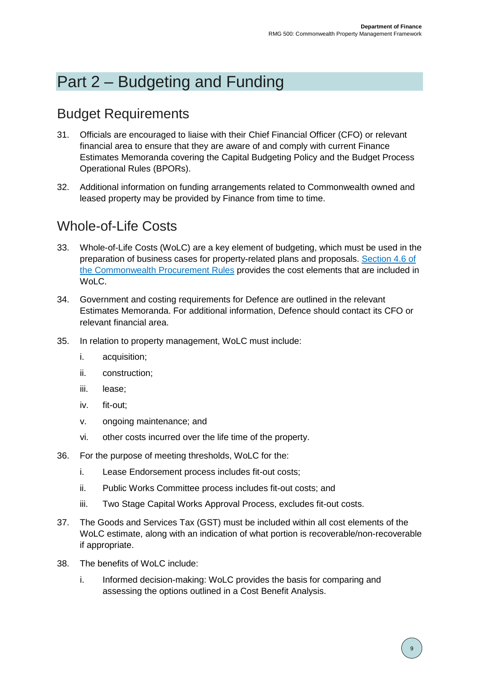# <span id="page-8-0"></span>Part 2 – Budgeting and Funding

### <span id="page-8-1"></span>Budget Requirements

- 31. Officials are encouraged to liaise with their Chief Financial Officer (CFO) or relevant financial area to ensure that they are aware of and comply with current Finance Estimates Memoranda covering the Capital Budgeting Policy and the Budget Process Operational Rules (BPORs).
- 32. Additional information on funding arrangements related to Commonwealth owned and leased property may be provided by Finance from time to time.

### <span id="page-8-2"></span>Whole-of-Life Costs

- 33. Whole-of-Life Costs (WoLC) are a key element of budgeting, which must be used in the preparation of business cases for property-related plans and proposals. [Section 4.6 of](https://www.finance.gov.au/government/procurement/commonwealth-procurement-rules)  [the Commonwealth Procurement Rules](https://www.finance.gov.au/government/procurement/commonwealth-procurement-rules) provides the cost elements that are included in WoLC.
- 34. Government and costing requirements for Defence are outlined in the relevant Estimates Memoranda. For additional information, Defence should contact its CFO or relevant financial area.
- 35. In relation to property management, WoLC must include:
	- i. acquisition;
	- ii. construction;
	- iii. lease;
	- iv. fit-out;
	- v. ongoing maintenance; and
	- vi. other costs incurred over the life time of the property.
- 36. For the purpose of meeting thresholds, WoLC for the:
	- i. Lease Endorsement process includes fit-out costs;
	- ii. Public Works Committee process includes fit-out costs; and
	- iii. Two Stage Capital Works Approval Process, excludes fit-out costs.
- 37. The Goods and Services Tax (GST) must be included within all cost elements of the WoLC estimate, along with an indication of what portion is recoverable/non-recoverable if appropriate.
- 38. The benefits of WoLC include:
	- i. Informed decision-making: WoLC provides the basis for comparing and assessing the options outlined in a Cost Benefit Analysis.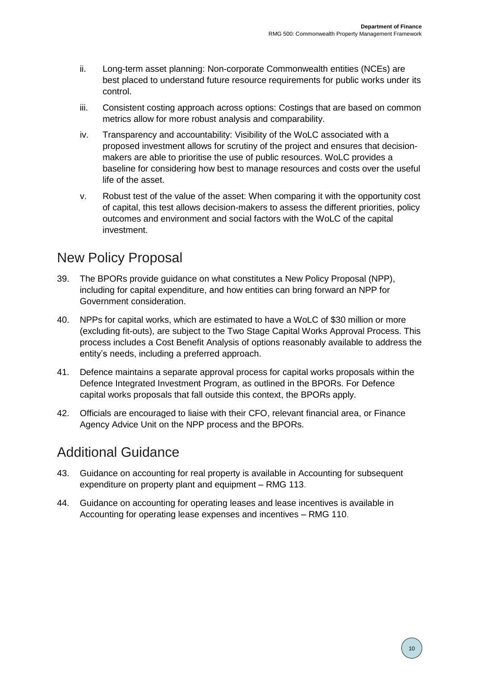- ii. Long-term asset planning: Non-corporate Commonwealth entities (NCEs) are best placed to understand future resource requirements for public works under its control.
- iii. Consistent costing approach across options: Costings that are based on common metrics allow for more robust analysis and comparability.
- iv. Transparency and accountability: Visibility of the WoLC associated with a proposed investment allows for scrutiny of the project and ensures that decisionmakers are able to prioritise the use of public resources. WoLC provides a baseline for considering how best to manage resources and costs over the useful life of the asset.
- v. Robust test of the value of the asset: When comparing it with the opportunity cost of capital, this test allows decision-makers to assess the different priorities, policy outcomes and environment and social factors with the WoLC of the capital investment.

### <span id="page-9-0"></span>New Policy Proposal

- 39. The BPORs provide guidance on what constitutes a New Policy Proposal (NPP), including for capital expenditure, and how entities can bring forward an NPP for Government consideration.
- 40. NPPs for capital works, which are estimated to have a WoLC of \$30 million or more (excluding fit-outs), are subject to the Two Stage Capital Works Approval Process. This process includes a Cost Benefit Analysis of options reasonably available to address the entity's needs, including a preferred approach.
- 41. Defence maintains a separate approval process for capital works proposals within the Defence Integrated Investment Program, as outlined in the BPORs. For Defence capital works proposals that fall outside this context, the BPORs apply.
- 42. Officials are encouraged to liaise with their CFO, relevant financial area, or Finance Agency Advice Unit on the NPP process and the BPORs.

#### Additional Guidance

- 43. Guidance on accounting for real property is available in Accounting for subsequent expenditure on property plant and equipment – RMG 113.
- 44. Guidance on accounting for operating leases and lease incentives is available in Accounting for operating lease expenses and incentives – RMG 110.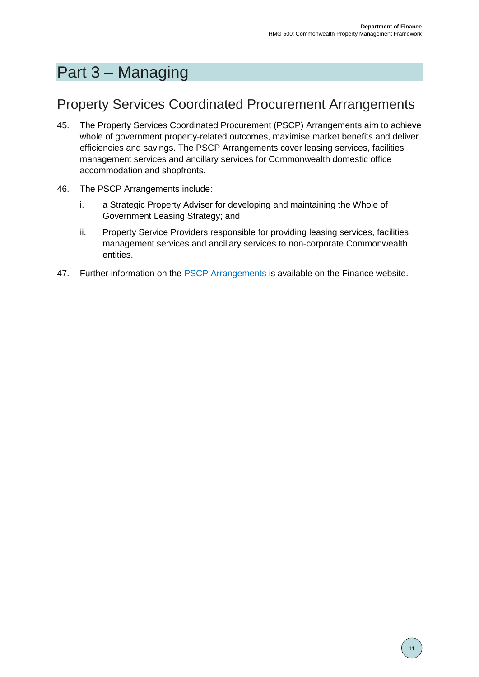# <span id="page-10-0"></span>Part 3 – Managing

#### <span id="page-10-1"></span>Property Services Coordinated Procurement Arrangements

- 45. The Property Services Coordinated Procurement (PSCP) Arrangements aim to achieve whole of government property-related outcomes, maximise market benefits and deliver efficiencies and savings. The PSCP Arrangements cover leasing services, facilities management services and ancillary services for Commonwealth domestic office accommodation and shopfronts.
- 46. The PSCP Arrangements include:
	- i. a Strategic Property Adviser for developing and maintaining the Whole of Government Leasing Strategy; and
	- ii. Property Service Providers responsible for providing leasing services, facilities management services and ancillary services to non-corporate Commonwealth entities.
- 47. Further information on the [PSCP Arrangements](https://www.finance.gov.au/publications/policy/property-services-coordinated-procurement) is available on the Finance website.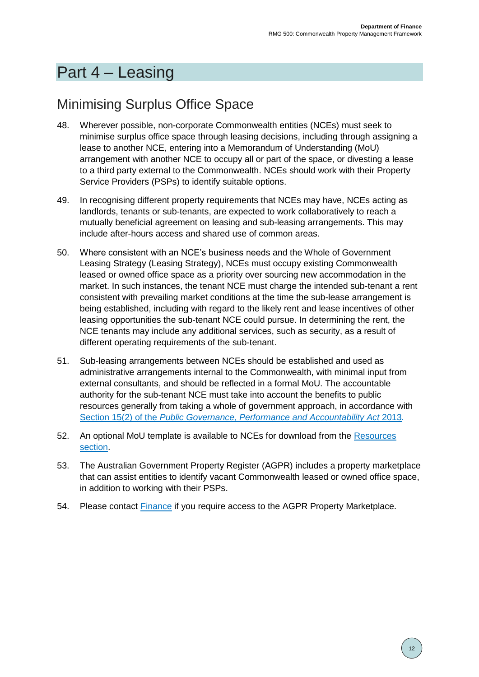# <span id="page-11-0"></span>Part 4 – Leasing

## <span id="page-11-1"></span>Minimising Surplus Office Space

- 48. Wherever possible, non-corporate Commonwealth entities (NCEs) must seek to minimise surplus office space through leasing decisions, including through assigning a lease to another NCE, entering into a Memorandum of Understanding (MoU) arrangement with another NCE to occupy all or part of the space, or divesting a lease to a third party external to the Commonwealth. NCEs should work with their Property Service Providers (PSPs) to identify suitable options.
- 49. In recognising different property requirements that NCEs may have, NCEs acting as landlords, tenants or sub-tenants, are expected to work collaboratively to reach a mutually beneficial agreement on leasing and sub-leasing arrangements. This may include after-hours access and shared use of common areas.
- 50. Where consistent with an NCE's business needs and the Whole of Government Leasing Strategy (Leasing Strategy), NCEs must occupy existing Commonwealth leased or owned office space as a priority over sourcing new accommodation in the market. In such instances, the tenant NCE must charge the intended sub-tenant a rent consistent with prevailing market conditions at the time the sub-lease arrangement is being established, including with regard to the likely rent and lease incentives of other leasing opportunities the sub-tenant NCE could pursue. In determining the rent, the NCE tenants may include any additional services, such as security, as a result of different operating requirements of the sub-tenant.
- 51. Sub-leasing arrangements between NCEs should be established and used as administrative arrangements internal to the Commonwealth, with minimal input from external consultants, and should be reflected in a formal MoU. The accountable authority for the sub-tenant NCE must take into account the benefits to public resources generally from taking a whole of government approach, in accordance with Section 15(2) of the *[Public Governance, Performance](https://www.legislation.gov.au/Series/C2013A00123) and Accountability Act* 2013*.*
- 52. An optional MoU template is available to NCEs for download from the [Resources](https://www.finance.gov.au/government/property-and-construction/commonwealth-property-management-framework/resources)  [section.](https://www.finance.gov.au/government/property-and-construction/commonwealth-property-management-framework/resources)
- 53. The Australian Government Property Register (AGPR) includes a property marketplace that can assist entities to identify vacant Commonwealth leased or owned office space, in addition to working with their PSPs.
- 54. Please contact **[Finance](mailto:propertyframework@finance.gov.au)** if you require access to the AGPR Property Marketplace.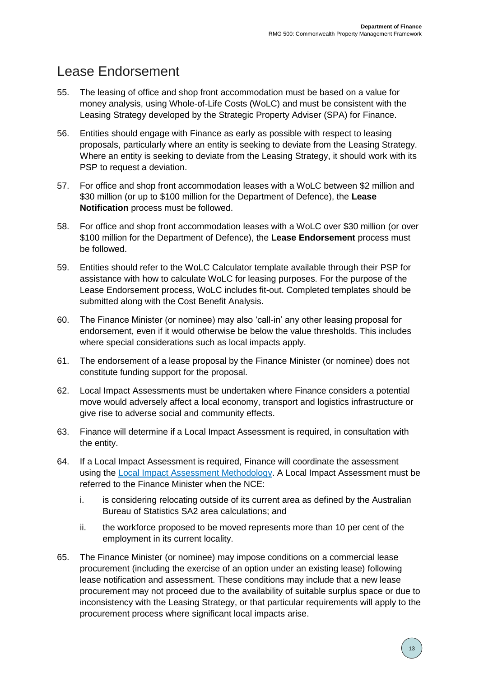## <span id="page-12-0"></span>Lease Endorsement

- 55. The leasing of office and shop front accommodation must be based on a value for money analysis, using Whole-of-Life Costs (WoLC) and must be consistent with the Leasing Strategy developed by the Strategic Property Adviser (SPA) for Finance.
- 56. Entities should engage with Finance as early as possible with respect to leasing proposals, particularly where an entity is seeking to deviate from the Leasing Strategy. Where an entity is seeking to deviate from the Leasing Strategy, it should work with its PSP to request a deviation.
- 57. For office and shop front accommodation leases with a WoLC between \$2 million and \$30 million (or up to \$100 million for the Department of Defence), the **Lease Notification** process must be followed.
- 58. For office and shop front accommodation leases with a WoLC over \$30 million (or over \$100 million for the Department of Defence), the **Lease Endorsement** process must be followed.
- 59. Entities should refer to the WoLC Calculator template available through their PSP for assistance with how to calculate WoLC for leasing purposes. For the purpose of the Lease Endorsement process, WoLC includes fit-out. Completed templates should be submitted along with the Cost Benefit Analysis.
- 60. The Finance Minister (or nominee) may also 'call-in' any other leasing proposal for endorsement, even if it would otherwise be below the value thresholds. This includes where special considerations such as local impacts apply.
- 61. The endorsement of a lease proposal by the Finance Minister (or nominee) does not constitute funding support for the proposal.
- 62. Local Impact Assessments must be undertaken where Finance considers a potential move would adversely affect a local economy, transport and logistics infrastructure or give rise to adverse social and community effects.
- 63. Finance will determine if a Local Impact Assessment is required, in consultation with the entity.
- 64. If a Local Impact Assessment is required, Finance will coordinate the assessment using the [Local Impact Assessment](https://www.finance.gov.au/sites/default/files/2019-11/RMG500-Local-Impact-Assessment-Methodology.pdf) Methodology. A Local Impact Assessment must be referred to the Finance Minister when the NCE:
	- i. is considering relocating outside of its current area as defined by the Australian Bureau of Statistics SA2 area calculations; and
	- ii. the workforce proposed to be moved represents more than 10 per cent of the employment in its current locality.
- 65. The Finance Minister (or nominee) may impose conditions on a commercial lease procurement (including the exercise of an option under an existing lease) following lease notification and assessment. These conditions may include that a new lease procurement may not proceed due to the availability of suitable surplus space or due to inconsistency with the Leasing Strategy, or that particular requirements will apply to the procurement process where significant local impacts arise.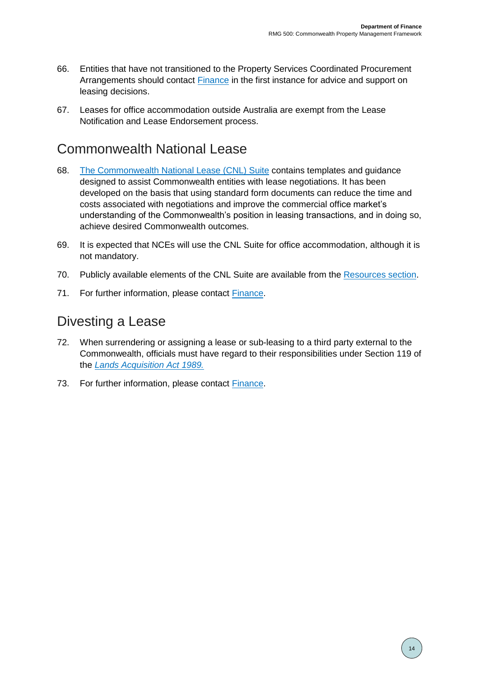- 66. Entities that have not transitioned to the Property Services Coordinated Procurement Arrangements should contact [Finance](mailto:propertyframework@finance.gov.au) in the first instance for advice and support on leasing decisions.
- 67. Leases for office accommodation outside Australia are exempt from the Lease Notification and Lease Endorsement process.

#### <span id="page-13-0"></span>Commonwealth National Lease

- 68. [The Commonwealth National Lease \(CNL\) Suite](https://www.finance.gov.au/government/property-and-construction/commonwealth-national-lease) contains templates and guidance designed to assist Commonwealth entities with lease negotiations. It has been developed on the basis that using standard form documents can reduce the time and costs associated with negotiations and improve the commercial office market's understanding of the Commonwealth's position in leasing transactions, and in doing so, achieve desired Commonwealth outcomes.
- 69. It is expected that NCEs will use the CNL Suite for office accommodation, although it is not mandatory.
- 70. Publicly available elements of the CNL Suite are available from the [Resources section.](https://www.finance.gov.au/government/property-and-construction/commonwealth-property-management-framework/resources)
- <span id="page-13-1"></span>71. For further information, please contact [Finance.](mailto:propertyframework@finance.gov.au)

#### Divesting a Lease

- 72. When surrendering or assigning a lease or sub-leasing to a third party external to the Commonwealth, officials must have regard to their responsibilities under Section 119 of the *[Lands Acquisition Act 1989.](https://www.legislation.gov.au/Series/C2004A03763)*
- 73. For further information, please contact [Finance.](mailto:propertyframework@finance.gov.au)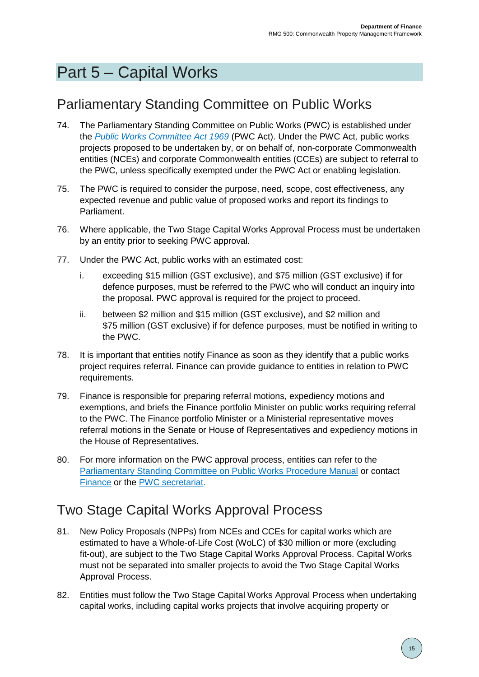# <span id="page-14-0"></span>Part 5 – Capital Works

## <span id="page-14-1"></span>Parliamentary Standing Committee on Public Works

- 74. The Parliamentary Standing Committee on Public Works (PWC) is established under the *[Public Works Committee Act 1969](https://www.legislation.gov.au/Series/C1969A00092)* (PWC Act). Under the PWC Act*,* public works projects proposed to be undertaken by, or on behalf of, non-corporate Commonwealth entities (NCEs) and corporate Commonwealth entities (CCEs) are subject to referral to the PWC, unless specifically exempted under the PWC Act or enabling legislation.
- 75. The PWC is required to consider the purpose, need, scope, cost effectiveness, any expected revenue and public value of proposed works and report its findings to Parliament.
- 76. Where applicable, the Two Stage Capital Works Approval Process must be undertaken by an entity prior to seeking PWC approval.
- 77. Under the PWC Act, public works with an estimated cost:
	- i. exceeding \$15 million (GST exclusive), and \$75 million (GST exclusive) if for defence purposes, must be referred to the PWC who will conduct an inquiry into the proposal. PWC approval is required for the project to proceed.
	- ii. between \$2 million and \$15 million (GST exclusive), and \$2 million and \$75 million (GST exclusive) if for defence purposes, must be notified in writing to the PWC.
- 78. It is important that entities notify Finance as soon as they identify that a public works project requires referral. Finance can provide guidance to entities in relation to PWC requirements.
- 79. Finance is responsible for preparing referral motions, expediency motions and exemptions, and briefs the Finance portfolio Minister on public works requiring referral to the PWC. The Finance portfolio Minister or a Ministerial representative moves referral motions in the Senate or House of Representatives and expediency motions in the House of Representatives.
- 80. For more information on the PWC approval process, entities can refer to the [Parliamentary Standing Committee on Public Works Procedure Manual](http://www.aph.gov.au/Parliamentary_Business/Committees/Joint/Public_Works) or contact [Finance](mailto:publicworks@finance.gov.au) or the [PWC secretariat.](mailto:pwc@aph.gov.au)

### <span id="page-14-2"></span>Two Stage Capital Works Approval Process

- 81. New Policy Proposals (NPPs) from NCEs and CCEs for capital works which are estimated to have a Whole-of-Life Cost (WoLC) of \$30 million or more (excluding fit-out), are subject to the Two Stage Capital Works Approval Process. Capital Works must not be separated into smaller projects to avoid the Two Stage Capital Works Approval Process.
- 82. Entities must follow the Two Stage Capital Works Approval Process when undertaking capital works, including capital works projects that involve acquiring property or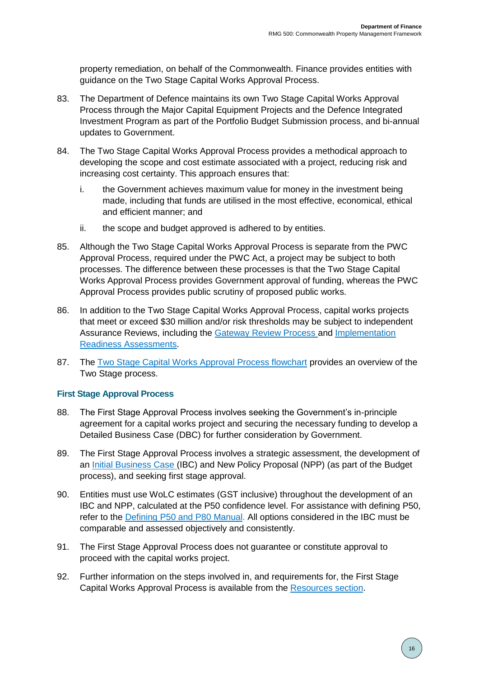property remediation, on behalf of the Commonwealth. Finance provides entities with guidance on the Two Stage Capital Works Approval Process.

- 83. The Department of Defence maintains its own Two Stage Capital Works Approval Process through the Major Capital Equipment Projects and the Defence Integrated Investment Program as part of the Portfolio Budget Submission process, and bi-annual updates to Government.
- 84. The Two Stage Capital Works Approval Process provides a methodical approach to developing the scope and cost estimate associated with a project, reducing risk and increasing cost certainty. This approach ensures that:
	- i. the Government achieves maximum value for money in the investment being made, including that funds are utilised in the most effective, economical, ethical and efficient manner; and
	- ii. the scope and budget approved is adhered to by entities.
- 85. Although the Two Stage Capital Works Approval Process is separate from the PWC Approval Process, required under the PWC Act, a project may be subject to both processes. The difference between these processes is that the Two Stage Capital Works Approval Process provides Government approval of funding, whereas the PWC Approval Process provides public scrutiny of proposed public works.
- 86. In addition to the Two Stage Capital Works Approval Process, capital works projects that meet or exceed \$30 million and/or risk thresholds may be subject to independent Assurance Reviews, including the [Gateway Review Process](https://www.finance.gov.au/government/assurance-reviews-risk-assessment/gateway-reviews-process) and [Implementation](https://www.finance.gov.au/government/assurance-reviews-risk-assessment/implementation-readiness-assessment-ira)  [Readiness Assessments.](https://www.finance.gov.au/government/assurance-reviews-risk-assessment/implementation-readiness-assessment-ira)
- 87. The Two Stage [Capital Works Approval Process flowchart](https://www.finance.gov.au/sites/default/files/2020-08/Two-Stage-Capital-Works-Approval-Process-Flowchart.pdf) provides an overview of the Two Stage process.

#### **First Stage Approval Process**

- 88. The First Stage Approval Process involves seeking the Government's in-principle agreement for a capital works project and securing the necessary funding to develop a Detailed Business Case (DBC) for further consideration by Government.
- 89. The First Stage Approval Process involves a strategic assessment, the development of an [Initial Business Case](https://www.finance.gov.au/sites/default/files/2019-11/RMG500-Initial-Business-Case-Template-for-Capital-Works-Projects.docx) (IBC) and New Policy Proposal (NPP) (as part of the Budget process), and seeking first stage approval.
- 90. Entities must use WoLC estimates (GST inclusive) throughout the development of an IBC and NPP, calculated at the P50 confidence level. For assistance with defining P50, refer to the [Defining P50 and P80](https://www.finance.gov.au/sites/default/files/2019-11/RMG500-Defining-P50-and-P80-Manual.pdf) Manual. All options considered in the IBC must be comparable and assessed objectively and consistently.
- 91. The First Stage Approval Process does not guarantee or constitute approval to proceed with the capital works project.
- 92. Further information on the steps involved in, and requirements for, the First Stage Capital Works Approval Process is available from the [Resources section.](https://www.finance.gov.au/government/property-and-construction/commonwealth-property-management-framework/resources)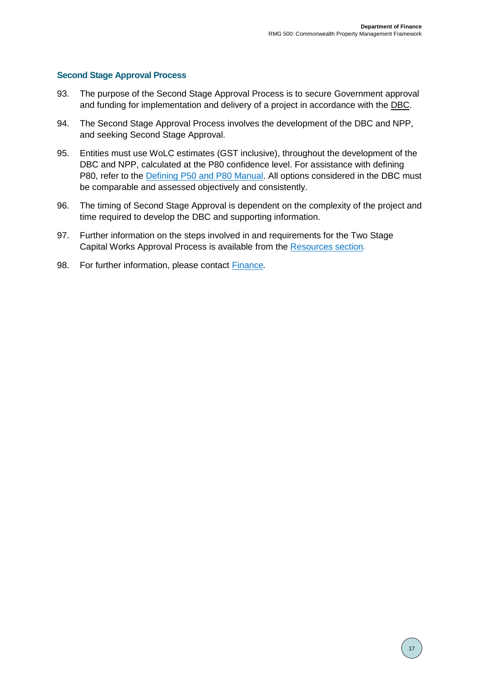#### **Second Stage Approval Process**

- 93. The purpose of the Second Stage Approval Process is to secure Government approval and funding for implementation and delivery of a project in accordance with the DBC.
- 94. The Second Stage Approval Process involves the development of the DBC and NPP, and seeking Second Stage Approval.
- 95. Entities must use WoLC estimates (GST inclusive), throughout the development of the DBC and NPP, calculated at the P80 confidence level. For assistance with defining P80, refer to the [Defining P50 and P80 Manual.](https://www.finance.gov.au/sites/default/files/2019-11/RMG500-Defining-P50-and-P80-Manual.pdf) All options considered in the DBC must be comparable and assessed objectively and consistently.
- 96. The timing of Second Stage Approval is dependent on the complexity of the project and time required to develop the DBC and supporting information.
- 97. Further information on the steps involved in and requirements for the Two Stage Capital Works Approval Process is available from the [Resources section](https://www.finance.gov.au/government/property-and-construction/commonwealth-property-management-framework/resources)*.*
- 98. For further information, please contact [Finance](mailto:propertyframework@finance.gov.au)*.*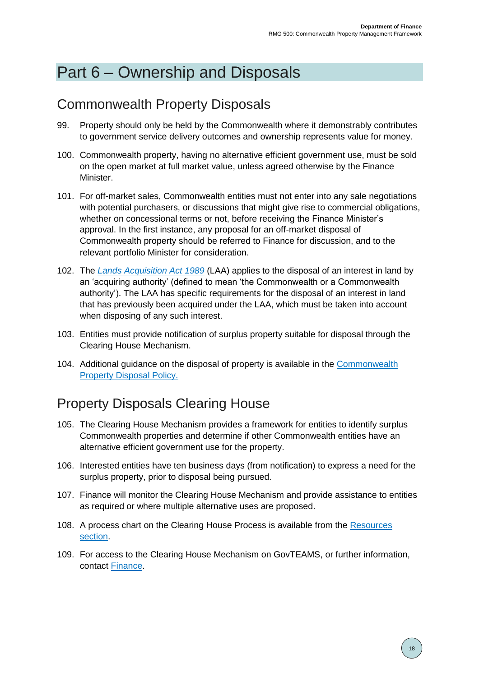# <span id="page-17-0"></span>Part 6 – Ownership and Disposals

### <span id="page-17-1"></span>Commonwealth Property Disposals

- 99. Property should only be held by the Commonwealth where it demonstrably contributes to government service delivery outcomes and ownership represents value for money.
- 100. Commonwealth property, having no alternative efficient government use, must be sold on the open market at full market value, unless agreed otherwise by the Finance Minister.
- 101. For off-market sales, Commonwealth entities must not enter into any sale negotiations with potential purchasers, or discussions that might give rise to commercial obligations, whether on concessional terms or not, before receiving the Finance Minister's approval. In the first instance, any proposal for an off-market disposal of Commonwealth property should be referred to Finance for discussion, and to the relevant portfolio Minister for consideration.
- 102. The *[Lands Acquisition Act 1989](https://www.legislation.gov.au/Series/C2004A03763)* (LAA) applies to the disposal of an interest in land by an 'acquiring authority' (defined to mean 'the Commonwealth or a Commonwealth authority'). The LAA has specific requirements for the disposal of an interest in land that has previously been acquired under the LAA, which must be taken into account when disposing of any such interest.
- 103. Entities must provide notification of surplus property suitable for disposal through the Clearing House Mechanism.
- 104. Additional guidance on the disposal of property is available in the [Commonwealth](https://www.finance.gov.au/government/property-and-construction/commonwealth-property-disposal-policy)  [Property Disposal Policy.](https://www.finance.gov.au/government/property-and-construction/commonwealth-property-disposal-policy)

## <span id="page-17-2"></span>Property Disposals Clearing House

- 105. The Clearing House Mechanism provides a framework for entities to identify surplus Commonwealth properties and determine if other Commonwealth entities have an alternative efficient government use for the property.
- 106. Interested entities have ten business days (from notification) to express a need for the surplus property, prior to disposal being pursued.
- 107. Finance will monitor the Clearing House Mechanism and provide assistance to entities as required or where multiple alternative uses are proposed.
- 108. A process chart on the Clearing House Process is available from the [Resources](https://www.finance.gov.au/government/property-and-construction/commonwealth-property-management-framework/resources)  [section.](https://www.finance.gov.au/government/property-and-construction/commonwealth-property-management-framework/resources)
- 109. For access to the Clearing House Mechanism on GovTEAMS, or further information, contact [Finance.](mailto:propertyframework@finance.gov.au)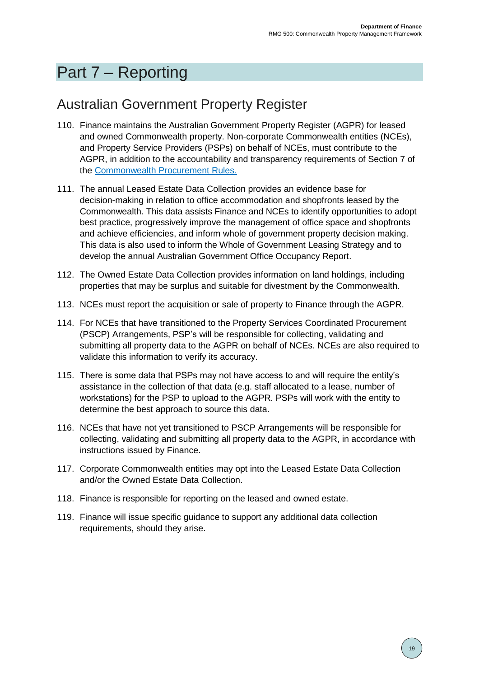# <span id="page-18-0"></span>Part 7 – Reporting

### <span id="page-18-1"></span>Australian Government Property Register

- 110. Finance maintains the Australian Government Property Register (AGPR) for leased and owned Commonwealth property. Non-corporate Commonwealth entities (NCEs), and Property Service Providers (PSPs) on behalf of NCEs, must contribute to the AGPR, in addition to the accountability and transparency requirements of Section 7 of the [Commonwealth Procurement Rules](https://www.finance.gov.au/government/procurement/commonwealth-procurement-rules)*.*
- 111. The annual Leased Estate Data Collection provides an evidence base for decision-making in relation to office accommodation and shopfronts leased by the Commonwealth. This data assists Finance and NCEs to identify opportunities to adopt best practice, progressively improve the management of office space and shopfronts and achieve efficiencies, and inform whole of government property decision making. This data is also used to inform the Whole of Government Leasing Strategy and to develop the annual Australian Government Office Occupancy Report.
- 112. The Owned Estate Data Collection provides information on land holdings, including properties that may be surplus and suitable for divestment by the Commonwealth.
- 113. NCEs must report the acquisition or sale of property to Finance through the AGPR.
- 114. For NCEs that have transitioned to the Property Services Coordinated Procurement (PSCP) Arrangements, PSP's will be responsible for collecting, validating and submitting all property data to the AGPR on behalf of NCEs. NCEs are also required to validate this information to verify its accuracy.
- 115. There is some data that PSPs may not have access to and will require the entity's assistance in the collection of that data (e.g. staff allocated to a lease, number of workstations) for the PSP to upload to the AGPR. PSPs will work with the entity to determine the best approach to source this data.
- 116. NCEs that have not yet transitioned to PSCP Arrangements will be responsible for collecting, validating and submitting all property data to the AGPR, in accordance with instructions issued by Finance.
- 117. Corporate Commonwealth entities may opt into the Leased Estate Data Collection and/or the Owned Estate Data Collection.
- 118. Finance is responsible for reporting on the leased and owned estate.
- 119. Finance will issue specific guidance to support any additional data collection requirements, should they arise.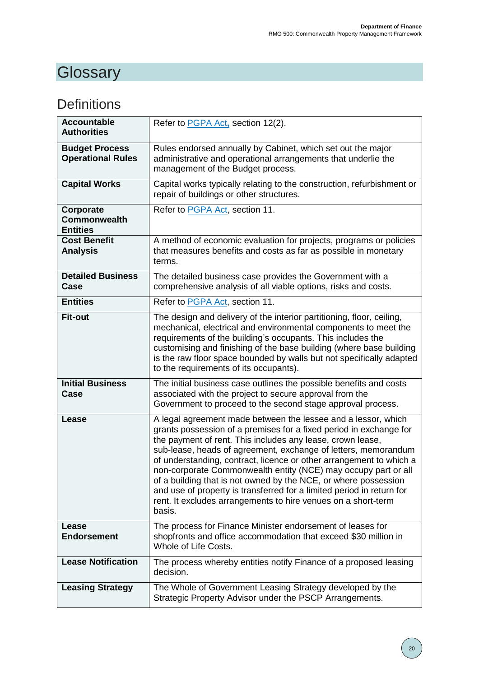# <span id="page-19-0"></span>**Glossary**

## <span id="page-19-1"></span>**Definitions**

| <b>Accountable</b><br><b>Authorities</b>            | Refer to PGPA Act, section 12(2).                                                                                                                                                                                                                                                                                                                                                                                                                                                                                                                                                                                                   |
|-----------------------------------------------------|-------------------------------------------------------------------------------------------------------------------------------------------------------------------------------------------------------------------------------------------------------------------------------------------------------------------------------------------------------------------------------------------------------------------------------------------------------------------------------------------------------------------------------------------------------------------------------------------------------------------------------------|
| <b>Budget Process</b><br><b>Operational Rules</b>   | Rules endorsed annually by Cabinet, which set out the major<br>administrative and operational arrangements that underlie the<br>management of the Budget process.                                                                                                                                                                                                                                                                                                                                                                                                                                                                   |
| <b>Capital Works</b>                                | Capital works typically relating to the construction, refurbishment or<br>repair of buildings or other structures.                                                                                                                                                                                                                                                                                                                                                                                                                                                                                                                  |
| Corporate<br><b>Commonwealth</b><br><b>Entities</b> | Refer to PGPA Act, section 11.                                                                                                                                                                                                                                                                                                                                                                                                                                                                                                                                                                                                      |
| <b>Cost Benefit</b><br><b>Analysis</b>              | A method of economic evaluation for projects, programs or policies<br>that measures benefits and costs as far as possible in monetary<br>terms.                                                                                                                                                                                                                                                                                                                                                                                                                                                                                     |
| <b>Detailed Business</b><br>Case                    | The detailed business case provides the Government with a<br>comprehensive analysis of all viable options, risks and costs.                                                                                                                                                                                                                                                                                                                                                                                                                                                                                                         |
| <b>Entities</b>                                     | Refer to PGPA Act, section 11.                                                                                                                                                                                                                                                                                                                                                                                                                                                                                                                                                                                                      |
| <b>Fit-out</b>                                      | The design and delivery of the interior partitioning, floor, ceiling,<br>mechanical, electrical and environmental components to meet the<br>requirements of the building's occupants. This includes the<br>customising and finishing of the base building (where base building<br>is the raw floor space bounded by walls but not specifically adapted<br>to the requirements of its occupants).                                                                                                                                                                                                                                    |
| <b>Initial Business</b><br><b>Case</b>              | The initial business case outlines the possible benefits and costs<br>associated with the project to secure approval from the<br>Government to proceed to the second stage approval process.                                                                                                                                                                                                                                                                                                                                                                                                                                        |
| Lease                                               | A legal agreement made between the lessee and a lessor, which<br>grants possession of a premises for a fixed period in exchange for<br>the payment of rent. This includes any lease, crown lease,<br>sub-lease, heads of agreement, exchange of letters, memorandum<br>of understanding, contract, licence or other arrangement to which a<br>non-corporate Commonwealth entity (NCE) may occupy part or all<br>of a building that is not owned by the NCE, or where possession<br>and use of property is transferred for a limited period in return for<br>rent. It excludes arrangements to hire venues on a short-term<br>basis. |
| Lease<br><b>Endorsement</b>                         | The process for Finance Minister endorsement of leases for<br>shopfronts and office accommodation that exceed \$30 million in<br>Whole of Life Costs.                                                                                                                                                                                                                                                                                                                                                                                                                                                                               |
| <b>Lease Notification</b>                           | The process whereby entities notify Finance of a proposed leasing<br>decision.                                                                                                                                                                                                                                                                                                                                                                                                                                                                                                                                                      |
| <b>Leasing Strategy</b>                             | The Whole of Government Leasing Strategy developed by the<br>Strategic Property Advisor under the PSCP Arrangements.                                                                                                                                                                                                                                                                                                                                                                                                                                                                                                                |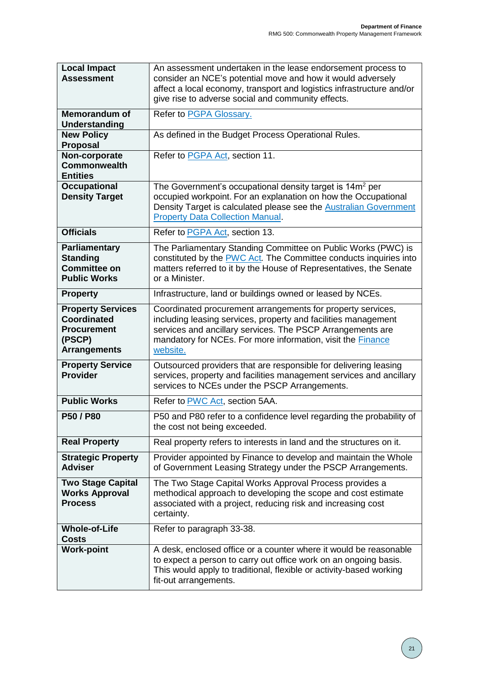| <b>Local Impact</b><br><b>Assessment</b>                                                              | An assessment undertaken in the lease endorsement process to<br>consider an NCE's potential move and how it would adversely<br>affect a local economy, transport and logistics infrastructure and/or<br>give rise to adverse social and community effects.             |
|-------------------------------------------------------------------------------------------------------|------------------------------------------------------------------------------------------------------------------------------------------------------------------------------------------------------------------------------------------------------------------------|
| <b>Memorandum of</b><br>Understanding                                                                 | Refer to PGPA Glossary.                                                                                                                                                                                                                                                |
| <b>New Policy</b><br>Proposal                                                                         | As defined in the Budget Process Operational Rules.                                                                                                                                                                                                                    |
| Non-corporate<br><b>Commonwealth</b><br><b>Entities</b>                                               | Refer to PGPA Act, section 11.                                                                                                                                                                                                                                         |
| <b>Occupational</b><br><b>Density Target</b>                                                          | The Government's occupational density target is 14m <sup>2</sup> per<br>occupied workpoint. For an explanation on how the Occupational<br>Density Target is calculated please see the <b>Australian Government</b><br><b>Property Data Collection Manual.</b>          |
| <b>Officials</b>                                                                                      | Refer to PGPA Act, section 13.                                                                                                                                                                                                                                         |
| <b>Parliamentary</b><br><b>Standing</b><br><b>Committee on</b><br><b>Public Works</b>                 | The Parliamentary Standing Committee on Public Works (PWC) is<br>constituted by the PWC Act. The Committee conducts inquiries into<br>matters referred to it by the House of Representatives, the Senate<br>or a Minister.                                             |
| <b>Property</b>                                                                                       | Infrastructure, land or buildings owned or leased by NCEs.                                                                                                                                                                                                             |
| <b>Property Services</b><br><b>Coordinated</b><br><b>Procurement</b><br>(PSCP)<br><b>Arrangements</b> | Coordinated procurement arrangements for property services,<br>including leasing services, property and facilities management<br>services and ancillary services. The PSCP Arrangements are<br>mandatory for NCEs. For more information, visit the Finance<br>website. |
| <b>Property Service</b><br><b>Provider</b>                                                            | Outsourced providers that are responsible for delivering leasing<br>services, property and facilities management services and ancillary<br>services to NCEs under the PSCP Arrangements.                                                                               |
| <b>Public Works</b>                                                                                   | Refer to PWC Act, section 5AA.                                                                                                                                                                                                                                         |
| P50 / P80                                                                                             | P50 and P80 refer to a confidence level regarding the probability of<br>the cost not being exceeded.                                                                                                                                                                   |
| <b>Real Property</b>                                                                                  | Real property refers to interests in land and the structures on it.                                                                                                                                                                                                    |
| <b>Strategic Property</b><br><b>Adviser</b>                                                           | Provider appointed by Finance to develop and maintain the Whole<br>of Government Leasing Strategy under the PSCP Arrangements.                                                                                                                                         |
| <b>Two Stage Capital</b><br><b>Works Approval</b><br><b>Process</b>                                   | The Two Stage Capital Works Approval Process provides a<br>methodical approach to developing the scope and cost estimate<br>associated with a project, reducing risk and increasing cost<br>certainty.                                                                 |
| <b>Whole-of-Life</b><br><b>Costs</b>                                                                  | Refer to paragraph 33-38.                                                                                                                                                                                                                                              |
| <b>Work-point</b>                                                                                     | A desk, enclosed office or a counter where it would be reasonable<br>to expect a person to carry out office work on an ongoing basis.<br>This would apply to traditional, flexible or activity-based working<br>fit-out arrangements.                                  |